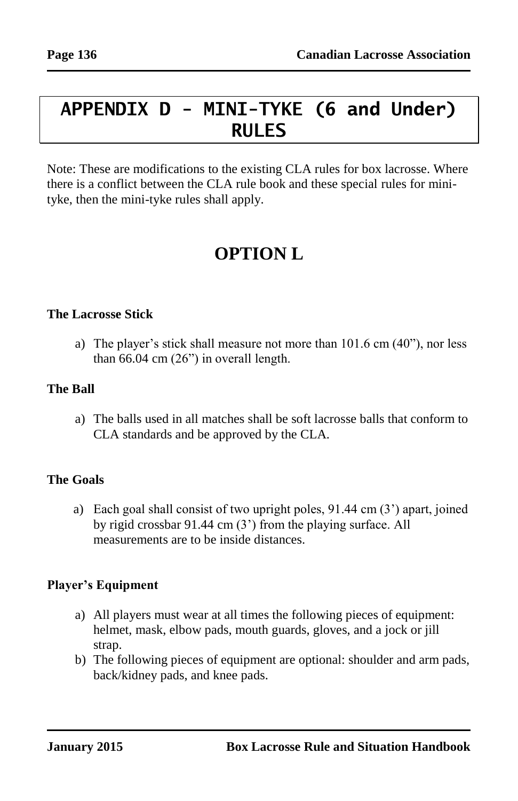# **APPENDIX D - MINI-TYKE (6 and Under) RULES**

Note: These are modifications to the existing CLA rules for box lacrosse. Where there is a conflict between the CLA rule book and these special rules for minityke, then the mini-tyke rules shall apply.

# **OPTION L**

#### **The Lacrosse Stick**

a) The player's stick shall measure not more than 101.6 cm (40"), nor less than 66.04 cm (26") in overall length.

#### **The Ball**

a) The balls used in all matches shall be soft lacrosse balls that conform to CLA standards and be approved by the CLA.

# **The Goals**

a) Each goal shall consist of two upright poles, 91.44 cm (3') apart, joined by rigid crossbar 91.44 cm (3') from the playing surface. All measurements are to be inside distances.

# **Player's Equipment**

- a) All players must wear at all times the following pieces of equipment: helmet, mask, elbow pads, mouth guards, gloves, and a jock or jill strap.
- b) The following pieces of equipment are optional: shoulder and arm pads, back/kidney pads, and knee pads.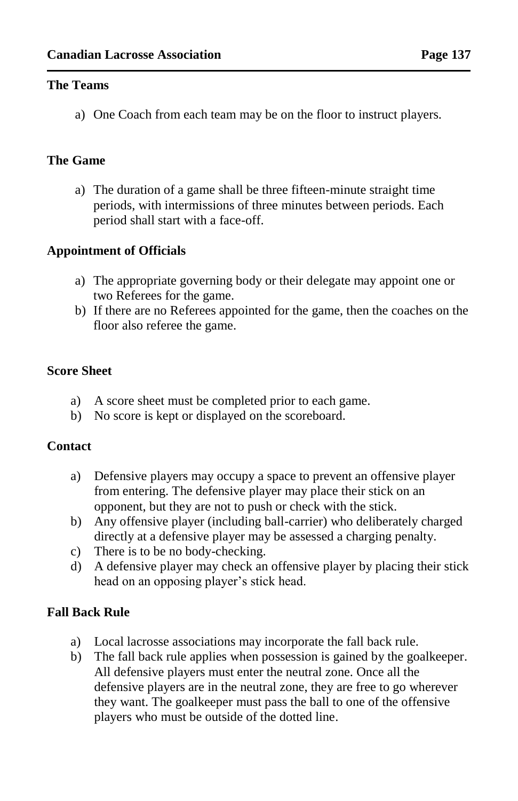#### **The Teams**

a) One Coach from each team may be on the floor to instruct players.

### **The Game**

a) The duration of a game shall be three fifteen-minute straight time periods, with intermissions of three minutes between periods. Each period shall start with a face-off.

## **Appointment of Officials**

- a) The appropriate governing body or their delegate may appoint one or two Referees for the game.
- b) If there are no Referees appointed for the game, then the coaches on the floor also referee the game.

#### **Score Sheet**

- a) A score sheet must be completed prior to each game.
- b) No score is kept or displayed on the scoreboard.

#### **Contact**

- a) Defensive players may occupy a space to prevent an offensive player from entering. The defensive player may place their stick on an opponent, but they are not to push or check with the stick.
- b) Any offensive player (including ball-carrier) who deliberately charged directly at a defensive player may be assessed a charging penalty.
- c) There is to be no body-checking.
- d) A defensive player may check an offensive player by placing their stick head on an opposing player's stick head.

# **Fall Back Rule**

- a) Local lacrosse associations may incorporate the fall back rule.
- b) The fall back rule applies when possession is gained by the goalkeeper. All defensive players must enter the neutral zone. Once all the defensive players are in the neutral zone, they are free to go wherever they want. The goalkeeper must pass the ball to one of the offensive players who must be outside of the dotted line.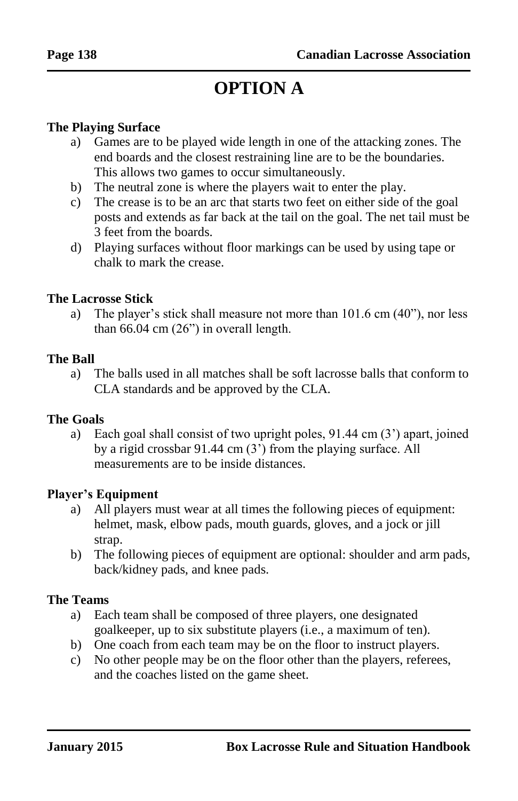# **OPTION A**

#### **The Playing Surface**

- a) Games are to be played wide length in one of the attacking zones. The end boards and the closest restraining line are to be the boundaries. This allows two games to occur simultaneously.
- b) The neutral zone is where the players wait to enter the play.
- c) The crease is to be an arc that starts two feet on either side of the goal posts and extends as far back at the tail on the goal. The net tail must be 3 feet from the boards.
- d) Playing surfaces without floor markings can be used by using tape or chalk to mark the crease.

#### **The Lacrosse Stick**

a) The player's stick shall measure not more than 101.6 cm (40"), nor less than 66.04 cm (26") in overall length.

#### **The Ball**

a) The balls used in all matches shall be soft lacrosse balls that conform to CLA standards and be approved by the CLA.

#### **The Goals**

a) Each goal shall consist of two upright poles, 91.44 cm (3') apart, joined by a rigid crossbar 91.44 cm (3') from the playing surface. All measurements are to be inside distances.

#### **Player's Equipment**

- a) All players must wear at all times the following pieces of equipment: helmet, mask, elbow pads, mouth guards, gloves, and a jock or jill strap.
- b) The following pieces of equipment are optional: shoulder and arm pads, back/kidney pads, and knee pads.

#### **The Teams**

- a) Each team shall be composed of three players, one designated goalkeeper, up to six substitute players (i.e., a maximum of ten).
- b) One coach from each team may be on the floor to instruct players.
- c) No other people may be on the floor other than the players, referees, and the coaches listed on the game sheet.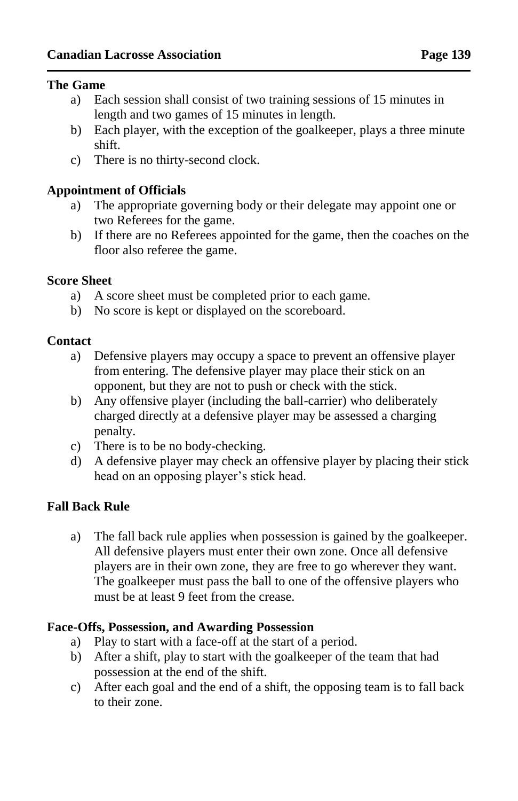#### **The Game**

- a) Each session shall consist of two training sessions of 15 minutes in length and two games of 15 minutes in length.
- b) Each player, with the exception of the goalkeeper, plays a three minute shift.
- c) There is no thirty-second clock.

#### **Appointment of Officials**

- a) The appropriate governing body or their delegate may appoint one or two Referees for the game.
- b) If there are no Referees appointed for the game, then the coaches on the floor also referee the game.

#### **Score Sheet**

- a) A score sheet must be completed prior to each game.
- b) No score is kept or displayed on the scoreboard.

#### **Contact**

- a) Defensive players may occupy a space to prevent an offensive player from entering. The defensive player may place their stick on an opponent, but they are not to push or check with the stick.
- b) Any offensive player (including the ball-carrier) who deliberately charged directly at a defensive player may be assessed a charging penalty.
- c) There is to be no body-checking.
- d) A defensive player may check an offensive player by placing their stick head on an opposing player's stick head.

# **Fall Back Rule**

a) The fall back rule applies when possession is gained by the goalkeeper. All defensive players must enter their own zone. Once all defensive players are in their own zone, they are free to go wherever they want. The goalkeeper must pass the ball to one of the offensive players who must be at least 9 feet from the crease.

#### **Face-Offs, Possession, and Awarding Possession**

- a) Play to start with a face-off at the start of a period.
- b) After a shift, play to start with the goalkeeper of the team that had possession at the end of the shift.
- c) After each goal and the end of a shift, the opposing team is to fall back to their zone.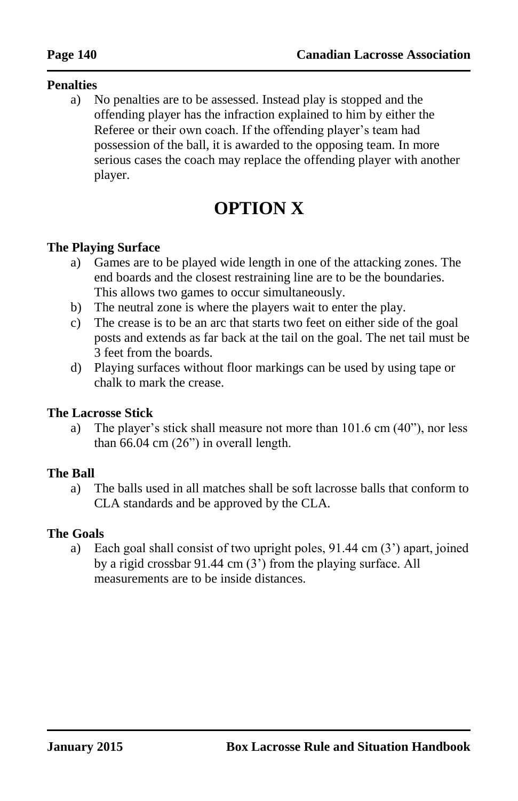#### **Penalties**

a) No penalties are to be assessed. Instead play is stopped and the offending player has the infraction explained to him by either the Referee or their own coach. If the offending player's team had possession of the ball, it is awarded to the opposing team. In more serious cases the coach may replace the offending player with another player.

# **OPTION X**

#### **The Playing Surface**

- a) Games are to be played wide length in one of the attacking zones. The end boards and the closest restraining line are to be the boundaries. This allows two games to occur simultaneously.
- b) The neutral zone is where the players wait to enter the play.
- c) The crease is to be an arc that starts two feet on either side of the goal posts and extends as far back at the tail on the goal. The net tail must be 3 feet from the boards.
- d) Playing surfaces without floor markings can be used by using tape or chalk to mark the crease.

#### **The Lacrosse Stick**

a) The player's stick shall measure not more than 101.6 cm (40"), nor less than 66.04 cm (26") in overall length.

#### **The Ball**

a) The balls used in all matches shall be soft lacrosse balls that conform to CLA standards and be approved by the CLA.

#### **The Goals**

a) Each goal shall consist of two upright poles, 91.44 cm (3') apart, joined by a rigid crossbar 91.44 cm (3') from the playing surface. All measurements are to be inside distances.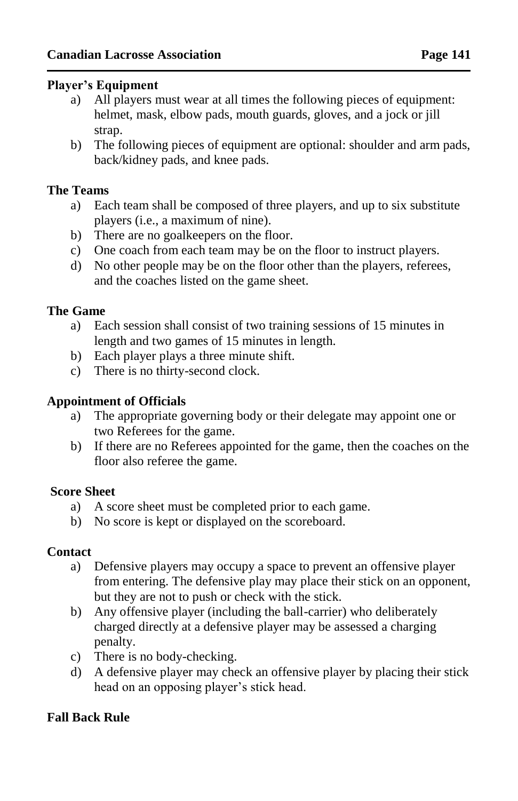#### **Player's Equipment**

- a) All players must wear at all times the following pieces of equipment: helmet, mask, elbow pads, mouth guards, gloves, and a jock or jill strap.
- b) The following pieces of equipment are optional: shoulder and arm pads, back/kidney pads, and knee pads.

#### **The Teams**

- a) Each team shall be composed of three players, and up to six substitute players (i.e., a maximum of nine).
- b) There are no goalkeepers on the floor.
- c) One coach from each team may be on the floor to instruct players.
- d) No other people may be on the floor other than the players, referees, and the coaches listed on the game sheet.

#### **The Game**

- a) Each session shall consist of two training sessions of 15 minutes in length and two games of 15 minutes in length.
- b) Each player plays a three minute shift.
- c) There is no thirty-second clock.

#### **Appointment of Officials**

- a) The appropriate governing body or their delegate may appoint one or two Referees for the game.
- b) If there are no Referees appointed for the game, then the coaches on the floor also referee the game.

#### **Score Sheet**

- a) A score sheet must be completed prior to each game.
- b) No score is kept or displayed on the scoreboard.

#### **Contact**

- a) Defensive players may occupy a space to prevent an offensive player from entering. The defensive play may place their stick on an opponent, but they are not to push or check with the stick.
- b) Any offensive player (including the ball-carrier) who deliberately charged directly at a defensive player may be assessed a charging penalty.
- c) There is no body-checking.
- d) A defensive player may check an offensive player by placing their stick head on an opposing player's stick head.

# **Fall Back Rule**